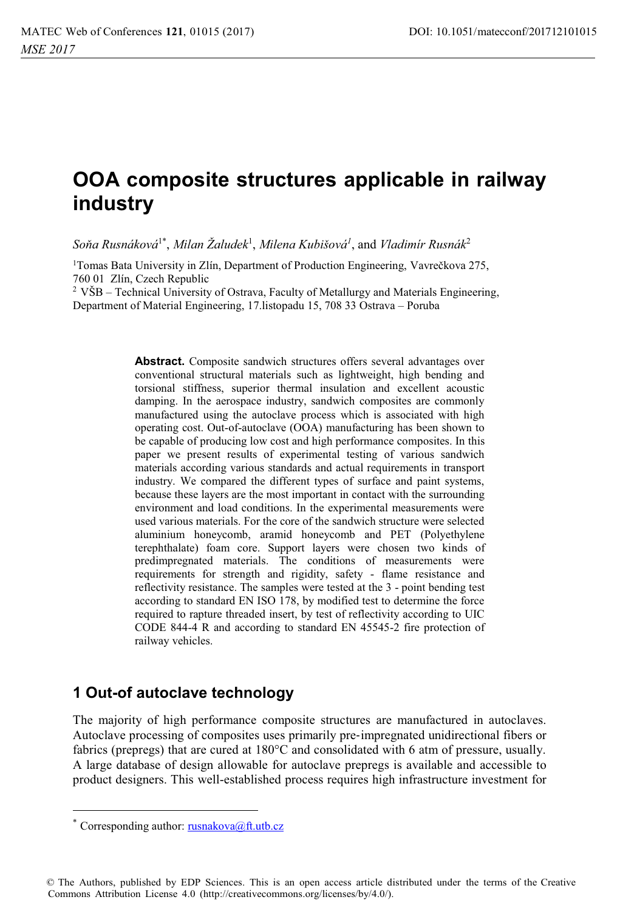# **OOA composite structures applicable in railway industry**

*Soňa Rusnáková*1\*, *Milan Žaludek*<sup>1</sup> , *Milena Kubišová1* , and *Vladimír Rusnák*<sup>2</sup>

<sup>1</sup>Tomas Bata University in Zlín, Department of Production Engineering, Vavrečkova 275, 760 01 Zlín, Czech Republic

 $2 VSB$  – Technical University of Ostrava, Faculty of Metallurgy and Materials Engineering, Department of Material Engineering, 17.listopadu 15, 708 33 Ostrava – Poruba

> **Abstract.** Composite sandwich structures offers several advantages over conventional structural materials such as lightweight, high bending and torsional stiffness, superior thermal insulation and excellent acoustic damping. In the aerospace industry, sandwich composites are commonly manufactured using the autoclave process which is associated with high operating cost. Out-of-autoclave (OOA) manufacturing has been shown to be capable of producing low cost and high performance composites. In this paper we present results of experimental testing of various sandwich materials according various standards and actual requirements in transport industry. We compared the different types of surface and paint systems, because these layers are the most important in contact with the surrounding environment and load conditions. In the experimental measurements were used various materials. For the core of the sandwich structure were selected aluminium honeycomb, aramid honeycomb and PET (Polyethylene terephthalate) foam core. Support layers were chosen two kinds of predimpregnated materials. The conditions of measurements were requirements for strength and rigidity, safety - flame resistance and reflectivity resistance. The samples were tested at the 3 - point bending test according to standard EN ISO 178, by modified test to determine the force required to rapture threaded insert, by test of reflectivity according to UIC CODE 844-4 R and according to standard EN 45545-2 fire protection of railway vehicles.

## **1 Out-of autoclave technology**

The majority of high performance composite structures are manufactured in autoclaves. Autoclave processing of composites uses primarily pre-impregnated unidirectional fibers or fabrics (prepregs) that are cured at 180°C and consolidated with 6 atm of pressure, usually. A large database of design allowable for autoclave prepregs is available and accessible to product designers. This well-established process requires high infrastructure investment for

 $\overline{a}$ 

© The Authors, published by EDP Sciences. This is an open access article distributed under the terms of the Creative Commons Attribution License 4.0 (http://creativecommons.org/licenses/by/4.0/).

<sup>\*</sup> Corresponding author:  $rusnakova@ft.uth. cz$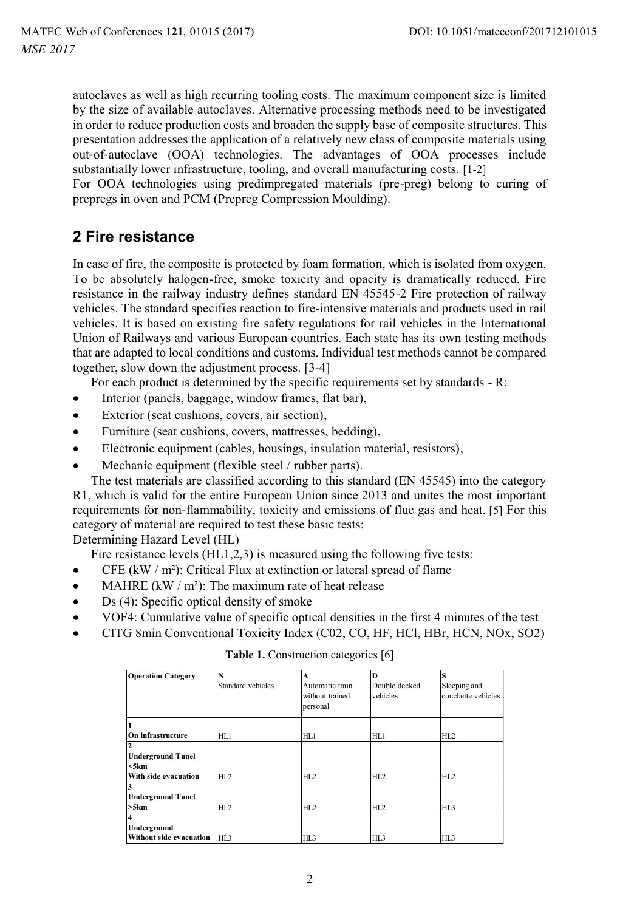autoclaves as well as high recurring tooling costs. The maximum component size is limited by the size of available autoclaves. Alternative processing methods need to be investigated in order to reduce production costs and broaden the supply base of composite structures. This presentation addresses the application of a relatively new class of composite materials using out-of-autoclave (OOA) technologies. The advantages of OOA processes include substantially lower infrastructure, tooling, and overall manufacturing costs. [1-2]

For OOA technologies using predimpregated materials (pre-preg) belong to curing of prepregs in oven and PCM (Prepreg Compression Moulding).

## **2 Fire resistance**

In case of fire, the composite is protected by foam formation, which is isolated from oxygen. To be absolutely halogen-free, smoke toxicity and opacity is dramatically reduced. Fire resistance in the railway industry defines standard EN 45545-2 Fire protection of railway vehicles. The standard specifies reaction to fire-intensive materials and products used in rail vehicles. It is based on existing fire safety regulations for rail vehicles in the International Union of Railways and various European countries. Each state has its own testing methods that are adapted to local conditions and customs. Individual test methods cannot be compared together, slow down the adjustment process. [3-4]

For each product is determined by the specific requirements set by standards - R:

- -Interior (panels, baggage, window frames, flat bar),
- -Exterior (seat cushions, covers, air section),
- -Furniture (seat cushions, covers, mattresses, bedding),
- -Electronic equipment (cables, housings, insulation material, resistors),
- -Mechanic equipment (flexible steel / rubber parts).

The test materials are classified according to this standard (EN 45545) into the category R1, which is valid for the entire European Union since 2013 and unites the most important requirements for non-flammability, toxicity and emissions of flue gas and heat. [5] For this category of material are required to test these basic tests:

Determining Hazard Level (HL)

Fire resistance levels (HL1,2,3) is measured using the following five tests:

- -CFE (kW / m²): Critical Flux at extinction or lateral spread of flame
- -MAHRE (kW  $/m<sup>2</sup>$ ): The maximum rate of heat release
- -Ds (4): Specific optical density of smoke
- -VOF4: Cumulative value of specific optical densities in the first 4 minutes of the test
- -CITG 8min Conventional Toxicity Index (C02, CO, HF, HCl, HBr, HCN, NOx, SO2)

| <b>Operation Category</b> | N<br>Standard vehicles | A<br>Automatic train<br>without trained<br>personal | D<br>Double decked<br>vehicles | S<br>Sleeping and<br>couchette vehicles |
|---------------------------|------------------------|-----------------------------------------------------|--------------------------------|-----------------------------------------|
|                           |                        |                                                     |                                |                                         |
| On infrastructure         | HL1                    | HL1                                                 | HL1                            | HL2                                     |
| 2                         |                        |                                                     |                                |                                         |
| <b>Underground Tunel</b>  |                        |                                                     |                                |                                         |
| <5km                      |                        |                                                     |                                |                                         |
| With side evacuation      | HL2                    | HL <sub>2</sub>                                     | HL <sub>2</sub>                | HL2                                     |
| 3                         |                        |                                                     |                                |                                         |
| <b>Underground Tunel</b>  |                        |                                                     |                                |                                         |
| >5km                      | HL2                    | HL <sub>2</sub>                                     | HL <sub>2</sub>                | HL <sub>3</sub>                         |
| 4                         |                        |                                                     |                                |                                         |
| Underground               |                        |                                                     |                                |                                         |
| Without side evacuation   | HL <sub>3</sub>        | HL3                                                 | HL3                            | HL <sub>3</sub>                         |

**Table 1.** Construction categories [6]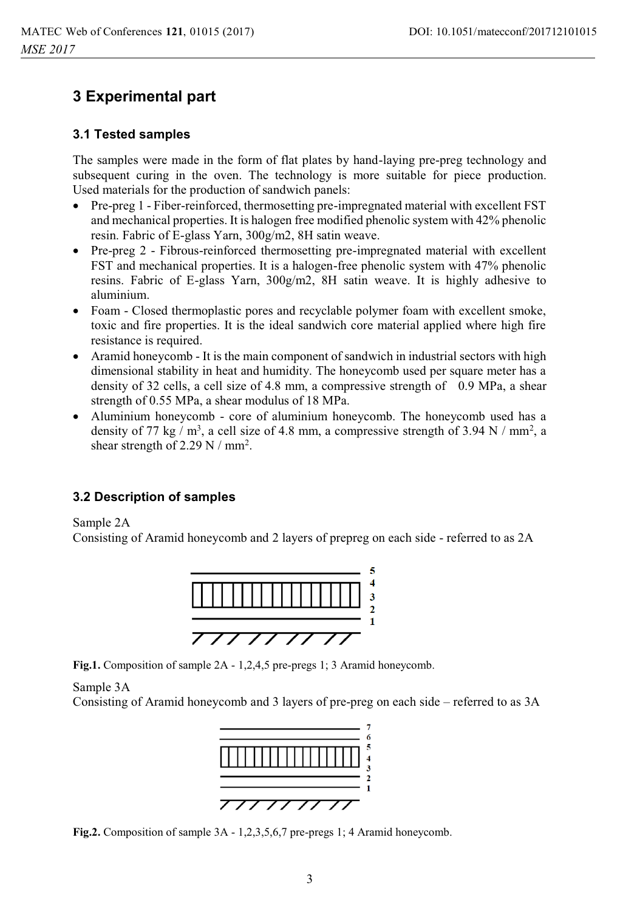# **3 Experimental part**

### **3.1 Tested samples**

The samples were made in the form of flat plates by hand-laying pre-preg technology and subsequent curing in the oven. The technology is more suitable for piece production. Used materials for the production of sandwich panels:

- - Pre-preg 1 - Fiber-reinforced, thermosetting pre-impregnated material with excellent FST and mechanical properties. It is halogen free modified phenolic system with 42% phenolic resin. Fabric of E-glass Yarn, 300g/m2, 8H satin weave.
- Pre-preg 2 Fibrous-reinforced thermosetting pre-impregnated material with excellent FST and mechanical properties. It is a halogen-free phenolic system with 47% phenolic resins. Fabric of E-glass Yarn, 300g/m2, 8H satin weave. It is highly adhesive to aluminium.
- Foam Closed thermoplastic pores and recyclable polymer foam with excellent smoke, toxic and fire properties. It is the ideal sandwich core material applied where high fire resistance is required.
- Aramid honeycomb It is the main component of sandwich in industrial sectors with high dimensional stability in heat and humidity. The honeycomb used per square meter has a density of 32 cells, a cell size of 4.8 mm, a compressive strength of 0.9 MPa, a shear strength of 0.55 MPa, a shear modulus of 18 MPa.
- Aluminium honeycomb core of aluminium honeycomb. The honeycomb used has a density of 77 kg / m<sup>3</sup>, a cell size of 4.8 mm, a compressive strength of 3.94 N / mm<sup>2</sup>, a shear strength of  $2.29 \text{ N} / \text{mm}^2$ .

## **3.2 Description of samples**

Sample 2A

Consisting of Aramid honeycomb and 2 layers of prepreg on each side - referred to as 2A



**Fig.1.** Composition of sample 2A - 1,2,4,5 pre-pregs 1; 3 Aramid honeycomb.

#### Sample 3A

Consisting of Aramid honeycomb and 3 layers of pre-preg on each side – referred to as 3A



**Fig.2.** Composition of sample 3A - 1,2,3,5,6,7 pre-pregs 1; 4 Aramid honeycomb.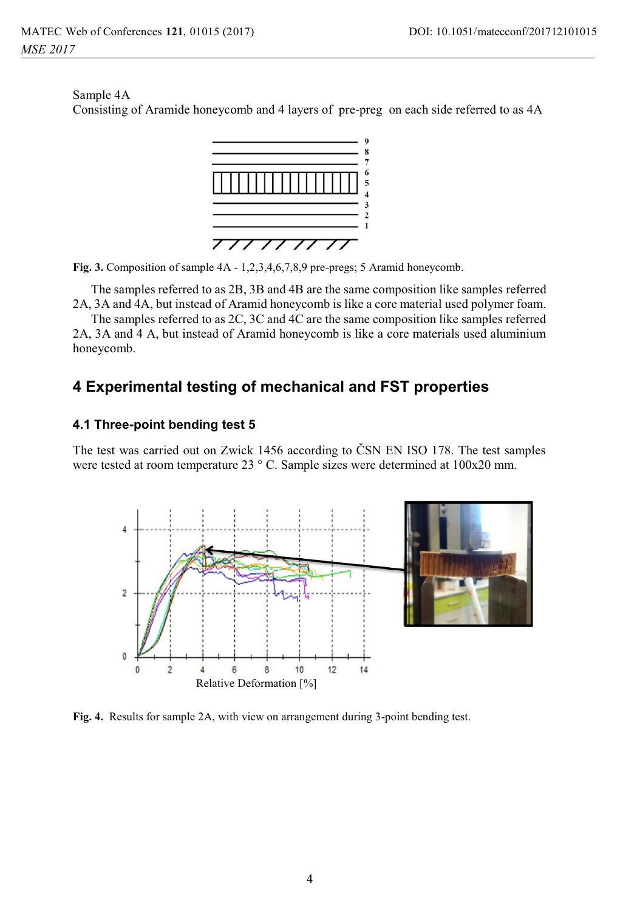#### Sample 4A

Consisting of Aramide honeycomb and 4 layers of pre-preg on each side referred to as 4A



**Fig. 3.** Composition of sample 4A - 1,2,3,4,6,7,8,9 pre-pregs; 5 Aramid honeycomb.

The samples referred to as 2B, 3B and 4B are the same composition like samples referred 2A, 3A and 4A, but instead of Aramid honeycomb is like a core material used polymer foam.

The samples referred to as 2C, 3C and 4C are the same composition like samples referred 2A, 3A and 4 A, but instead of Aramid honeycomb is like a core materials used aluminium honeycomb.

## **4 Experimental testing of mechanical and FST properties**

## **4.1 Three-point bending test 5**

The test was carried out on Zwick 1456 according to ČSN EN ISO 178. The test samples were tested at room temperature 23 ° C. Sample sizes were determined at 100x20 mm.



**Fig. 4.** Results for sample 2A, with view on arrangement during 3-point bending test.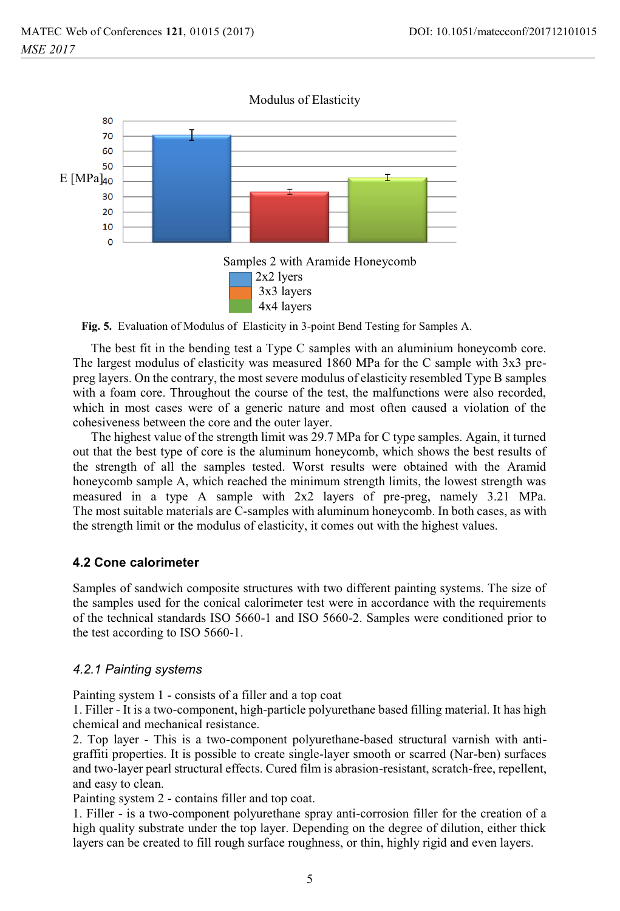

**Fig. 5.** Evaluation of Modulus of Elasticity in 3-point Bend Testing for Samples A.

The best fit in the bending test a Type C samples with an aluminium honeycomb core. The largest modulus of elasticity was measured 1860 MPa for the C sample with 3x3 prepreg layers. On the contrary, the most severe modulus of elasticity resembled Type B samples with a foam core. Throughout the course of the test, the malfunctions were also recorded, which in most cases were of a generic nature and most often caused a violation of the cohesiveness between the core and the outer layer.

The highest value of the strength limit was 29.7 MPa for C type samples. Again, it turned out that the best type of core is the aluminum honeycomb, which shows the best results of the strength of all the samples tested. Worst results were obtained with the Aramid honeycomb sample A, which reached the minimum strength limits, the lowest strength was measured in a type A sample with 2x2 layers of pre-preg, namely 3.21 MPa. The most suitable materials are C-samples with aluminum honeycomb. In both cases, as with the strength limit or the modulus of elasticity, it comes out with the highest values.

#### **4.2 Cone calorimeter**

Samples of sandwich composite structures with two different painting systems. The size of the samples used for the conical calorimeter test were in accordance with the requirements of the technical standards ISO 5660-1 and ISO 5660-2. Samples were conditioned prior to the test according to ISO 5660-1.

# *4.2.1 Painting systems*

Painting system 1 - consists of a filler and a top coat

1. Filler - It is a two-component, high-particle polyurethane based filling material. It has high chemical and mechanical resistance.

2. Top layer - This is a two-component polyurethane-based structural varnish with antigraffiti properties. It is possible to create single-layer smooth or scarred (Nar-ben) surfaces and two-layer pearl structural effects. Cured film is abrasion-resistant, scratch-free, repellent, and easy to clean.

Painting system 2 - contains filler and top coat.

1. Filler - is a two-component polyurethane spray anti-corrosion filler for the creation of a high quality substrate under the top layer. Depending on the degree of dilution, either thick layers can be created to fill rough surface roughness, or thin, highly rigid and even layers.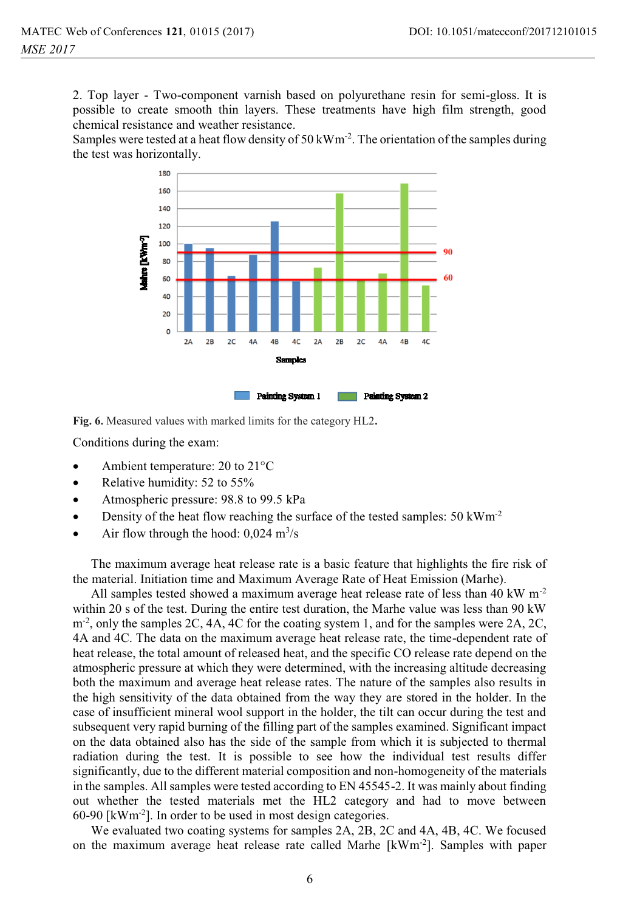2. Top layer - Two-component varnish based on polyurethane resin for semi-gloss. It is possible to create smooth thin layers. These treatments have high film strength, good chemical resistance and weather resistance.

Samples were tested at a heat flow density of 50 kWm<sup>-2</sup>. The orientation of the samples during the test was horizontally.



**Fig. 6.** Measured values with marked limits for the category HL2**.** 

Conditions during the exam:

- -Ambient temperature: 20 to 21°C
- -Relative humidity: 52 to 55%
- -Atmospheric pressure: 98.8 to 99.5 kPa
- -Density of the heat flow reaching the surface of the tested samples: 50 kWm-2
- -• Air flow through the hood:  $0.024 \text{ m}^3/\text{s}$

The maximum average heat release rate is a basic feature that highlights the fire risk of the material. Initiation time and Maximum Average Rate of Heat Emission (Marhe).

All samples tested showed a maximum average heat release rate of less than 40 kW m<sup>-2</sup> within 20 s of the test. During the entire test duration, the Marhe value was less than 90 kW  $m<sup>2</sup>$ , only the samples 2C, 4A, 4C for the coating system 1, and for the samples were 2A, 2C, 4A and 4C. The data on the maximum average heat release rate, the time-dependent rate of heat release, the total amount of released heat, and the specific CO release rate depend on the atmospheric pressure at which they were determined, with the increasing altitude decreasing both the maximum and average heat release rates. The nature of the samples also results in the high sensitivity of the data obtained from the way they are stored in the holder. In the case of insufficient mineral wool support in the holder, the tilt can occur during the test and subsequent very rapid burning of the filling part of the samples examined. Significant impact on the data obtained also has the side of the sample from which it is subjected to thermal radiation during the test. It is possible to see how the individual test results differ significantly, due to the different material composition and non-homogeneity of the materials in the samples. All samples were tested according to EN 45545-2. It was mainly about finding out whether the tested materials met the HL2 category and had to move between 60-90 [kWm-2]. In order to be used in most design categories.

We evaluated two coating systems for samples 2A, 2B, 2C and 4A, 4B, 4C. We focused on the maximum average heat release rate called Marhe [kWm-2]. Samples with paper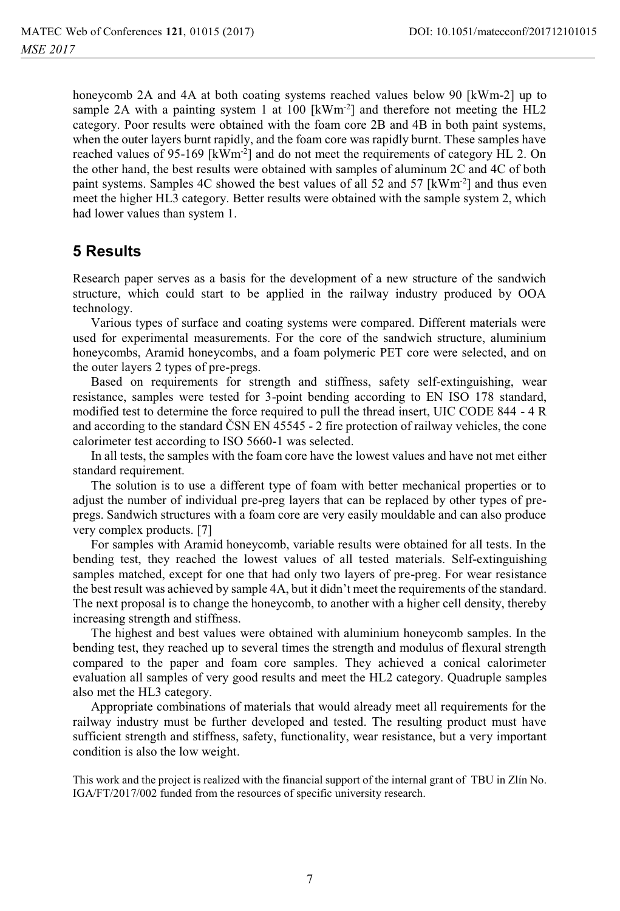honeycomb 2A and 4A at both coating systems reached values below 90 [kWm-2] up to sample 2A with a painting system 1 at 100  $\text{[kWm$^{-2}$]}$  and therefore not meeting the HL2 category. Poor results were obtained with the foam core 2B and 4B in both paint systems, when the outer layers burnt rapidly, and the foam core was rapidly burnt. These samples have reached values of 95-169 [kWm-2] and do not meet the requirements of category HL 2. On the other hand, the best results were obtained with samples of aluminum 2C and 4C of both paint systems. Samples 4C showed the best values of all 52 and 57  $\text{[kWm-2]}$  and thus even meet the higher HL3 category. Better results were obtained with the sample system 2, which had lower values than system 1.

## **5 Results**

Research paper serves as a basis for the development of a new structure of the sandwich structure, which could start to be applied in the railway industry produced by OOA technology.

Various types of surface and coating systems were compared. Different materials were used for experimental measurements. For the core of the sandwich structure, aluminium honeycombs, Aramid honeycombs, and a foam polymeric PET core were selected, and on the outer layers 2 types of pre-pregs.

Based on requirements for strength and stiffness, safety self-extinguishing, wear resistance, samples were tested for 3-point bending according to EN ISO 178 standard, modified test to determine the force required to pull the thread insert, UIC CODE 844 - 4 R and according to the standard ČSN EN 45545 - 2 fire protection of railway vehicles, the cone calorimeter test according to ISO 5660-1 was selected.

In all tests, the samples with the foam core have the lowest values and have not met either standard requirement.

The solution is to use a different type of foam with better mechanical properties or to adjust the number of individual pre-preg layers that can be replaced by other types of prepregs. Sandwich structures with a foam core are very easily mouldable and can also produce very complex products. [7]

For samples with Aramid honeycomb, variable results were obtained for all tests. In the bending test, they reached the lowest values of all tested materials. Self-extinguishing samples matched, except for one that had only two layers of pre-preg. For wear resistance the best result was achieved by sample 4A, but it didn't meet the requirements of the standard. The next proposal is to change the honeycomb, to another with a higher cell density, thereby increasing strength and stiffness.

The highest and best values were obtained with aluminium honeycomb samples. In the bending test, they reached up to several times the strength and modulus of flexural strength compared to the paper and foam core samples. They achieved a conical calorimeter evaluation all samples of very good results and meet the HL2 category. Quadruple samples also met the HL3 category.

Appropriate combinations of materials that would already meet all requirements for the railway industry must be further developed and tested. The resulting product must have sufficient strength and stiffness, safety, functionality, wear resistance, but a very important condition is also the low weight.

This work and the project is realized with the financial support of the internal grant of TBU in Zlín No. IGA/FT/2017/002 funded from the resources of specific university research.